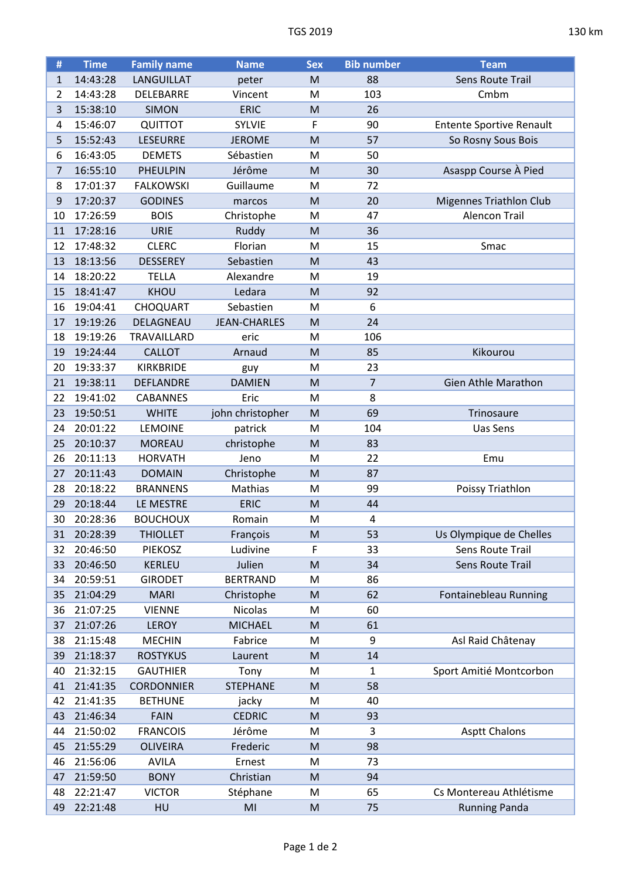| #              | <b>Time</b> | <b>Family name</b> | <b>Name</b>         | <b>Sex</b>                                                                            | <b>Bib number</b> | <b>Team</b>                     |
|----------------|-------------|--------------------|---------------------|---------------------------------------------------------------------------------------|-------------------|---------------------------------|
| 1              | 14:43:28    | LANGUILLAT         | peter               | M                                                                                     | 88                | Sens Route Trail                |
| $\overline{2}$ | 14:43:28    | DELEBARRE          | Vincent             | M                                                                                     | 103               | Cmbm                            |
| 3              | 15:38:10    | <b>SIMON</b>       | <b>ERIC</b>         | M                                                                                     | 26                |                                 |
| 4              | 15:46:07    | <b>QUITTOT</b>     | <b>SYLVIE</b>       | F                                                                                     | 90                | <b>Entente Sportive Renault</b> |
| 5              | 15:52:43    | <b>LESEURRE</b>    | <b>JEROME</b>       | M                                                                                     | 57                | So Rosny Sous Bois              |
| 6              | 16:43:05    | <b>DEMETS</b>      | Sébastien           | M                                                                                     | 50                |                                 |
| 7              | 16:55:10    | <b>PHEULPIN</b>    | Jérôme              | M                                                                                     | 30                | Asaspp Course À Pied            |
| 8              | 17:01:37    | <b>FALKOWSKI</b>   | Guillaume           | M                                                                                     | 72                |                                 |
| 9              | 17:20:37    | <b>GODINES</b>     | marcos              | M                                                                                     | 20                | <b>Migennes Triathlon Club</b>  |
| 10             | 17:26:59    | <b>BOIS</b>        | Christophe          | M                                                                                     | 47                | <b>Alencon Trail</b>            |
| 11             | 17:28:16    | <b>URIE</b>        | Ruddy               | M                                                                                     | 36                |                                 |
| 12             | 17:48:32    | <b>CLERC</b>       | Florian             | M                                                                                     | 15                | Smac                            |
| 13             | 18:13:56    | <b>DESSEREY</b>    | Sebastien           | M                                                                                     | 43                |                                 |
| 14             | 18:20:22    | <b>TELLA</b>       | Alexandre           | M                                                                                     | 19                |                                 |
| 15             | 18:41:47    | KHOU               | Ledara              | M                                                                                     | 92                |                                 |
| 16             | 19:04:41    | <b>CHOQUART</b>    | Sebastien           | M                                                                                     | 6                 |                                 |
| 17             | 19:19:26    | DELAGNEAU          | <b>JEAN-CHARLES</b> | M                                                                                     | 24                |                                 |
| 18             | 19:19:26    | TRAVAILLARD        | eric                | M                                                                                     | 106               |                                 |
| 19             | 19:24:44    | <b>CALLOT</b>      | Arnaud              | M                                                                                     | 85                | Kikourou                        |
| 20             | 19:33:37    | <b>KIRKBRIDE</b>   | guy                 | M                                                                                     | 23                |                                 |
| 21             | 19:38:11    | <b>DEFLANDRE</b>   | <b>DAMIEN</b>       | M                                                                                     | 7                 | <b>Gien Athle Marathon</b>      |
| 22             | 19:41:02    | <b>CABANNES</b>    | Eric                | M                                                                                     | 8                 |                                 |
| 23             | 19:50:51    | <b>WHITE</b>       | john christopher    | M                                                                                     | 69                | Trinosaure                      |
| 24             | 20:01:22    | <b>LEMOINE</b>     | patrick             | M                                                                                     | 104               | Uas Sens                        |
| 25             | 20:10:37    | <b>MOREAU</b>      | christophe          | M                                                                                     | 83                |                                 |
| 26             | 20:11:13    | <b>HORVATH</b>     | Jeno                | M                                                                                     | 22                | Emu                             |
| 27             | 20:11:43    | <b>DOMAIN</b>      | Christophe          | M                                                                                     | 87                |                                 |
| 28             | 20:18:22    | <b>BRANNENS</b>    | Mathias             | M                                                                                     | 99                | Poissy Triathlon                |
| 29             | 20:18:44    | LE MESTRE          | <b>ERIC</b>         | M                                                                                     | 44                |                                 |
| 30             | 20:28:36    | <b>BOUCHOUX</b>    | Romain              | M                                                                                     | 4                 |                                 |
| 31             | 20:28:39    | <b>THIOLLET</b>    | François            | M                                                                                     | 53                | Us Olympique de Chelles         |
| 32             | 20:46:50    | <b>PIEKOSZ</b>     | Ludivine            | F                                                                                     | 33                | Sens Route Trail                |
| 33             | 20:46:50    | KERLEU             | Julien              | M                                                                                     | 34                | Sens Route Trail                |
| 34             | 20:59:51    | <b>GIRODET</b>     | <b>BERTRAND</b>     | M                                                                                     | 86                |                                 |
| 35             | 21:04:29    | <b>MARI</b>        | Christophe          | M                                                                                     | 62                | Fontainebleau Running           |
| 36             | 21:07:25    | <b>VIENNE</b>      | Nicolas             | M                                                                                     | 60                |                                 |
| 37             | 21:07:26    | <b>LEROY</b>       | <b>MICHAEL</b>      | M                                                                                     | 61                |                                 |
| 38             | 21:15:48    | <b>MECHIN</b>      | Fabrice             | M                                                                                     | 9                 | Asl Raid Châtenay               |
| 39             | 21:18:37    | <b>ROSTYKUS</b>    | Laurent             | M                                                                                     | 14                |                                 |
| 40             | 21:32:15    | <b>GAUTHIER</b>    | Tony                | M                                                                                     | $\mathbf{1}$      | Sport Amitié Montcorbon         |
| 41             | 21:41:35    | <b>CORDONNIER</b>  | <b>STEPHANE</b>     | M                                                                                     | 58                |                                 |
| 42             | 21:41:35    | <b>BETHUNE</b>     | jacky               | M                                                                                     | 40                |                                 |
| 43             | 21:46:34    | <b>FAIN</b>        | <b>CEDRIC</b>       | M                                                                                     | 93                |                                 |
| 44             | 21:50:02    | <b>FRANCOIS</b>    | Jérôme              | M                                                                                     | 3                 | <b>Asptt Chalons</b>            |
| 45             | 21:55:29    | <b>OLIVEIRA</b>    | Frederic            | M                                                                                     | 98                |                                 |
| 46             | 21:56:06    | <b>AVILA</b>       | Ernest              | M                                                                                     | 73                |                                 |
| 47             | 21:59:50    | <b>BONY</b>        | Christian           | M                                                                                     | 94                |                                 |
| 48             | 22:21:47    | <b>VICTOR</b>      | Stéphane            | M                                                                                     | 65                | Cs Montereau Athlétisme         |
| 49             | 22:21:48    | HU                 | MI                  | $\mathsf{M}% _{T}=\mathsf{M}_{T}\!\left( a,b\right) ,\ \mathsf{M}_{T}=\mathsf{M}_{T}$ | 75                | <b>Running Panda</b>            |